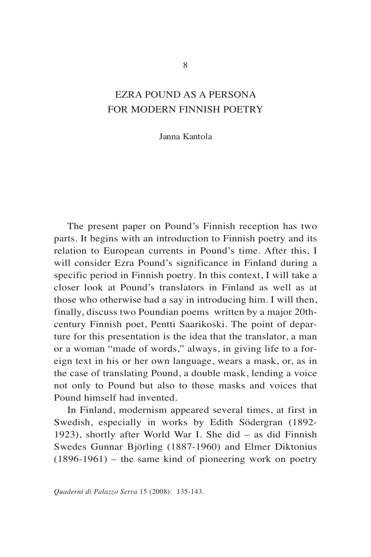## EZRA POUND AS A PERSONA FOR MODERN FINNISH POETRY

Janna Kantola

The present paper on Pound's Finnish reception has two parts. It begins with an introduction to Finnish poetry and its relation to European currents in Pound's time. After this, I will consider Ezra Pound's significance in Finland during a specific period in Finnish poetry. In this context, I will take a closer look at Pound's translators in Finland as well as at those who otherwise had a say in introducing him. I will then, finally, discuss two Poundian poems written by a major 20thcentury Finnish poet, Pentti Saarikoski. The point of departure for this presentation is the idea that the translator, a man or a woman "made of words," always, in giving life to a foreign text in his or her own language, wears a mask, or, as in the case of translating Pound, a double mask, lending a voice not only to Pound but also to those masks and voices that Pound himself had invented.

In Finland, modernism appeared several times, at first in Swedish, especially in works by Edith Södergran (1892- 1923), shortly after World War I. She did – as did Finnish Swedes Gunnar Björling (1887-1960) and Elmer Diktonius  $(1896-1961)$  – the same kind of pioneering work on poetry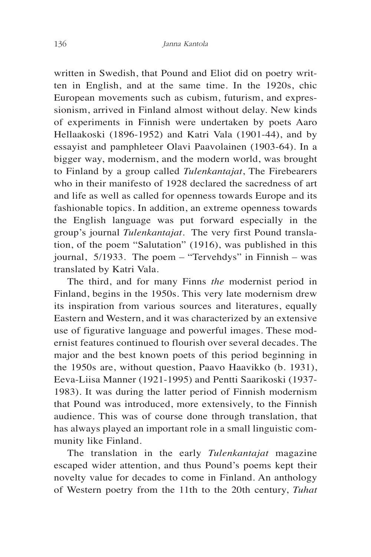written in Swedish, that Pound and Eliot did on poetry written in English, and at the same time. In the 1920s, chic European movements such as cubism, futurism, and expressionism, arrived in Finland almost without delay. New kinds of experiments in Finnish were undertaken by poets Aaro Hellaakoski (1896-1952) and Katri Vala (1901-44), and by essayist and pamphleteer Olavi Paavolainen (1903-64). In a bigger way, modernism, and the modern world, was brought to Finland by a group called *Tulenkantajat*, The Firebearers who in their manifesto of 1928 declared the sacredness of art and life as well as called for openness towards Europe and its fashionable topics. In addition, an extreme openness towards the English language was put forward especially in the group's journal *Tulenkantajat*. The very first Pound translation, of the poem "Salutation" (1916), was published in this journal, 5/1933. The poem – "Tervehdys" in Finnish – was translated by Katri Vala.

The third, and for many Finns *the* modernist period in Finland, begins in the 1950s. This very late modernism drew its inspiration from various sources and literatures, equally Eastern and Western, and it was characterized by an extensive use of figurative language and powerful images. These modernist features continued to flourish over several decades. The major and the best known poets of this period beginning in the 1950s are, without question, Paavo Haavikko (b. 1931), Eeva-Liisa Manner (1921-1995) and Pentti Saarikoski (1937- 1983). It was during the latter period of Finnish modernism that Pound was introduced, more extensively, to the Finnish audience. This was of course done through translation, that has always played an important role in a small linguistic community like Finland.

The translation in the early *Tulenkantajat* magazine escaped wider attention, and thus Pound's poems kept their novelty value for decades to come in Finland. An anthology of Western poetry from the 11th to the 20th century, *Tuhat*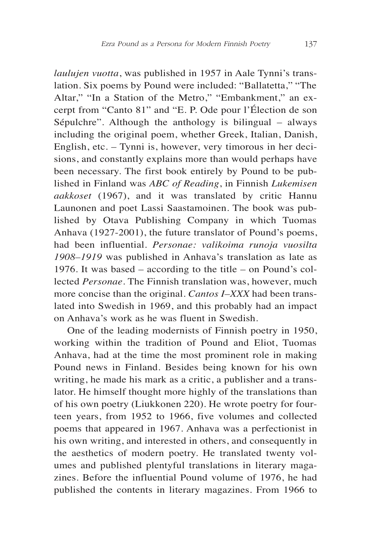*laulujen vuotta*, was published in 1957 in Aale Tynni's translation. Six poems by Pound were included: "Ballatetta," "The Altar," "In a Station of the Metro," "Embankment," an excerpt from "Canto 81" and "E. P. Ode pour l'Élection de son Sépulchre". Although the anthology is bilingual – always including the original poem, whether Greek, Italian, Danish, English, etc. – Tynni is, however, very timorous in her decisions, and constantly explains more than would perhaps have been necessary. The first book entirely by Pound to be published in Finland was *ABC of Reading*, in Finnish *Lukemisen aakkoset* (1967), and it was translated by critic Hannu Launonen and poet Lassi Saastamoinen. The book was published by Otava Publishing Company in which Tuomas Anhava (1927-2001), the future translator of Pound's poems, had been influential. *Personae: valikoima runoja vuosilta 1908–1919* was published in Anhava's translation as late as 1976. It was based – according to the title – on Pound's collected *Personae*. The Finnish translation was, however, much more concise than the original. *Cantos I–XXX* had been translated into Swedish in 1969, and this probably had an impact on Anhava's work as he was fluent in Swedish.

One of the leading modernists of Finnish poetry in 1950, working within the tradition of Pound and Eliot, Tuomas Anhava, had at the time the most prominent role in making Pound news in Finland. Besides being known for his own writing, he made his mark as a critic, a publisher and a translator. He himself thought more highly of the translations than of his own poetry (Liukkonen 220). He wrote poetry for fourteen years, from 1952 to 1966, five volumes and collected poems that appeared in 1967. Anhava was a perfectionist in his own writing, and interested in others, and consequently in the aesthetics of modern poetry. He translated twenty volumes and published plentyful translations in literary magazines. Before the influential Pound volume of 1976, he had published the contents in literary magazines. From 1966 to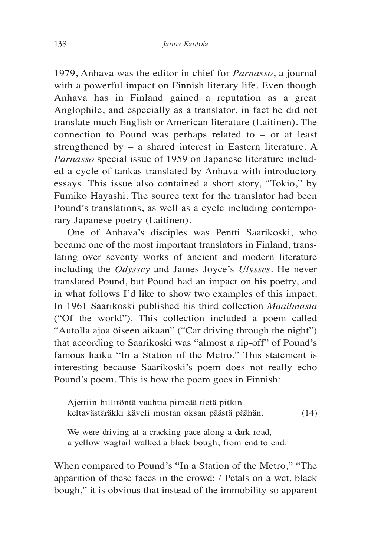1979, Anhava was the editor in chief for *Parnasso*, a journal with a powerful impact on Finnish literary life. Even though Anhava has in Finland gained a reputation as a great Anglophile, and especially as a translator, in fact he did not translate much English or American literature (Laitinen). The connection to Pound was perhaps related to – or at least strengthened by – a shared interest in Eastern literature. A *Parnasso* special issue of 1959 on Japanese literature included a cycle of tankas translated by Anhava with introductory essays. This issue also contained a short story, "Tokio," by Fumiko Hayashi. The source text for the translator had been Pound's translations, as well as a cycle including contemporary Japanese poetry (Laitinen).

One of Anhava's disciples was Pentti Saarikoski, who became one of the most important translators in Finland, translating over seventy works of ancient and modern literature including the *Odyssey* and James Joyce's *Ulysses*. He never translated Pound, but Pound had an impact on his poetry, and in what follows I'd like to show two examples of this impact. In 1961 Saarikoski published his third collection *Maailmasta* ("Of the world"). This collection included a poem called "Autolla ajoa öiseen aikaan" ("Car driving through the night") that according to Saarikoski was "almost a rip-off" of Pound's famous haiku "In a Station of the Metro." This statement is interesting because Saarikoski's poem does not really echo Pound's poem. This is how the poem goes in Finnish:

Ajettiin hillitöntä vauhtia pimeää tietä pitkin keltavästäräkki käveli mustan oksan päästä päähän. (14)

We were driving at a cracking pace along a dark road, a yellow wagtail walked a black bough, from end to end.

When compared to Pound's "In a Station of the Metro," "The apparition of these faces in the crowd; / Petals on a wet, black bough," it is obvious that instead of the immobility so apparent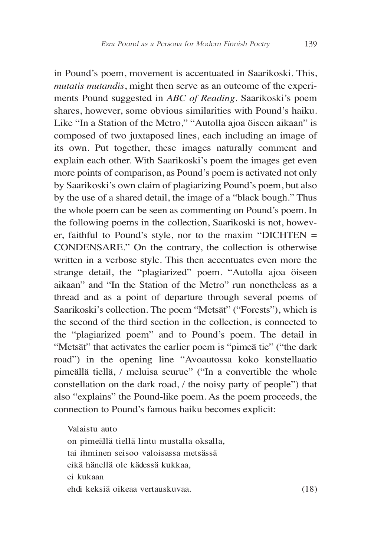in Pound's poem, movement is accentuated in Saarikoski. This, *mutatis mutandis*, might then serve as an outcome of the experiments Pound suggested in *ABC of Reading*. Saarikoski's poem shares, however, some obvious similarities with Pound's haiku. Like "In a Station of the Metro," "Autolla ajoa öiseen aikaan" is composed of two juxtaposed lines, each including an image of its own. Put together, these images naturally comment and explain each other. With Saarikoski's poem the images get even more points of comparison, as Pound's poem is activated not only by Saarikoski's own claim of plagiarizing Pound's poem, but also by the use of a shared detail, the image of a "black bough." Thus the whole poem can be seen as commenting on Pound's poem. In the following poems in the collection, Saarikoski is not, however, faithful to Pound's style, nor to the maxim "DICHTEN  $=$ CONDENSARE." On the contrary, the collection is otherwise written in a verbose style. This then accentuates even more the strange detail, the "plagiarized" poem. "Autolla ajoa öiseen aikaan" and "In the Station of the Metro" run nonetheless as a thread and as a point of departure through several poems of Saarikoski's collection. The poem "Metsät" ("Forests"), which is the second of the third section in the collection, is connected to the "plagiarized poem" and to Pound's poem. The detail in "Metsät" that activates the earlier poem is "pimeä tie" ("the dark road") in the opening line "Avoautossa koko konstellaatio pimeällä tiellä, / meluisa seurue" ("In a convertible the whole constellation on the dark road, / the noisy party of people") that also "explains" the Pound-like poem. As the poem proceeds, the connection to Pound's famous haiku becomes explicit:

Valaistu auto on pimeällä tiellä lintu mustalla oksalla, tai ihminen seisoo valoisassa metsässä eikä hänellä ole kädessä kukkaa, ei kukaan ehdi keksiä oikeaa vertauskuvaa. (18)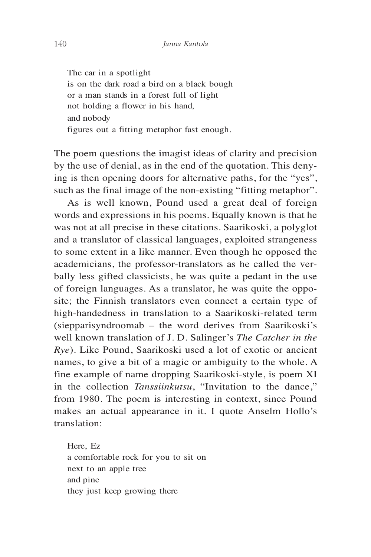The car in a spotlight is on the dark road a bird on a black bough or a man stands in a forest full of light not holding a flower in his hand, and nobody figures out a fitting metaphor fast enough.

The poem questions the imagist ideas of clarity and precision by the use of denial, as in the end of the quotation. This denying is then opening doors for alternative paths, for the "yes", such as the final image of the non-existing "fitting metaphor".

As is well known, Pound used a great deal of foreign words and expressions in his poems. Equally known is that he was not at all precise in these citations. Saarikoski, a polyglot and a translator of classical languages, exploited strangeness to some extent in a like manner. Even though he opposed the academicians, the professor-translators as he called the verbally less gifted classicists, he was quite a pedant in the use of foreign languages. As a translator, he was quite the opposite; the Finnish translators even connect a certain type of high-handedness in translation to a Saarikoski-related term (siepparisyndroomab – the word derives from Saarikoski's well known translation of J. D. Salinger's *The Catcher in the Rye*). Like Pound, Saarikoski used a lot of exotic or ancient names, to give a bit of a magic or ambiguity to the whole. A fine example of name dropping Saarikoski-style, is poem XI in the collection *Tanssiinkutsu*, "Invitation to the dance," from 1980. The poem is interesting in context, since Pound makes an actual appearance in it. I quote Anselm Hollo's translation:

Here, Ez a comfortable rock for you to sit on next to an apple tree and pine they just keep growing there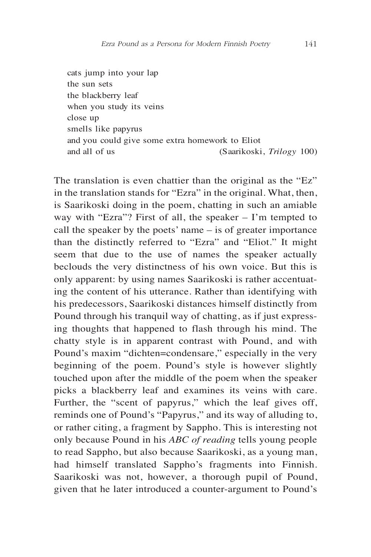cats jump into your lap the sun sets the blackberry leaf when you study its veins close up smells like papyrus and you could give some extra homework to Eliot and all of us (Saarikoski, *Trilogy* 100)

The translation is even chattier than the original as the "Ez" in the translation stands for "Ezra" in the original. What, then, is Saarikoski doing in the poem, chatting in such an amiable way with "Ezra"? First of all, the speaker – I'm tempted to call the speaker by the poets' name – is of greater importance than the distinctly referred to "Ezra" and "Eliot." It might seem that due to the use of names the speaker actually beclouds the very distinctness of his own voice. But this is only apparent: by using names Saarikoski is rather accentuating the content of his utterance. Rather than identifying with his predecessors, Saarikoski distances himself distinctly from Pound through his tranquil way of chatting, as if just expressing thoughts that happened to flash through his mind. The chatty style is in apparent contrast with Pound, and with Pound's maxim "dichten=condensare," especially in the very beginning of the poem. Pound's style is however slightly touched upon after the middle of the poem when the speaker picks a blackberry leaf and examines its veins with care. Further, the "scent of papyrus," which the leaf gives off, reminds one of Pound's "Papyrus," and its way of alluding to, or rather citing, a fragment by Sappho. This is interesting not only because Pound in his *ABC of reading* tells young people to read Sappho, but also because Saarikoski, as a young man, had himself translated Sappho's fragments into Finnish. Saarikoski was not, however, a thorough pupil of Pound, given that he later introduced a counter-argument to Pound's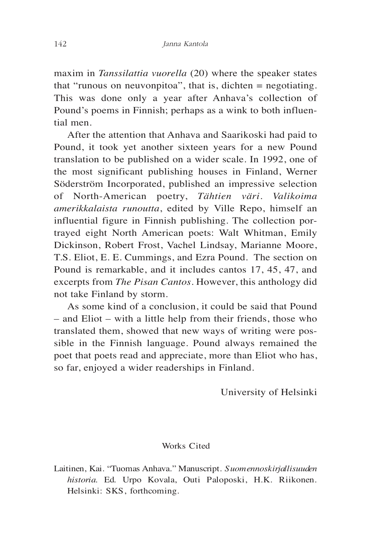maxim in *Tanssilattia vuorella* (20) where the speaker states that "runous on neuvonpitoa", that is, dichten = negotiating. This was done only a year after Anhava's collection of Pound's poems in Finnish; perhaps as a wink to both influential men.

After the attention that Anhava and Saarikoski had paid to Pound, it took yet another sixteen years for a new Pound translation to be published on a wider scale. In 1992, one of the most significant publishing houses in Finland, Werner Söderström Incorporated, published an impressive selection of North-American poetry, *Tähtien väri. Valikoima amerikkalaista runoutta*, edited by Ville Repo, himself an influential figure in Finnish publishing. The collection portrayed eight North American poets: Walt Whitman, Emily Dickinson, Robert Frost, Vachel Lindsay, Marianne Moore, T.S. Eliot, E. E. Cummings, and Ezra Pound. The section on Pound is remarkable, and it includes cantos 17, 45, 47, and excerpts from *The Pisan Cantos*. However, this anthology did not take Finland by storm.

As some kind of a conclusion, it could be said that Pound – and Eliot – with a little help from their friends, those who translated them, showed that new ways of writing were possible in the Finnish language. Pound always remained the poet that poets read and appreciate, more than Eliot who has, so far, enjoyed a wider readerships in Finland.

University of Helsinki

## Works Cited

Laitinen, Kai. "Tuomas Anhava." Manuscript. *Suomennoskirjallisuuden historia*. Ed. Urpo Kovala, Outi Paloposki, H.K. Riikonen. Helsinki: SKS, forthcoming.